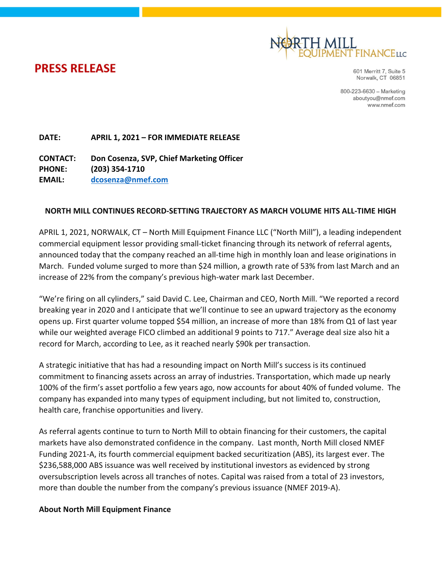

**PRESS RELEASE** 

601 Merritt 7, Suite 5 Norwalk, CT 06851

800-223-6630 - Marketing aboutyou@nmef.com www.nmef.com

DATE: APRIL 1, 2021 – FOR IMMEDIATE RELEASE

CONTACT: Don Cosenza, SVP, Chief Marketing Officer PHONE: (203) 354-1710 EMAIL: dcosenza@nmef.com

## NORTH MILL CONTINUES RECORD-SETTING TRAJECTORY AS MARCH VOLUME HITS ALL-TIME HIGH

APRIL 1, 2021, NORWALK, CT – North Mill Equipment Finance LLC ("North Mill"), a leading independent commercial equipment lessor providing small-ticket financing through its network of referral agents, announced today that the company reached an all-time high in monthly loan and lease originations in March. Funded volume surged to more than \$24 million, a growth rate of 53% from last March and an increase of 22% from the company's previous high-water mark last December.

"We're firing on all cylinders," said David C. Lee, Chairman and CEO, North Mill. "We reported a record breaking year in 2020 and I anticipate that we'll continue to see an upward trajectory as the economy opens up. First quarter volume topped \$54 million, an increase of more than 18% from Q1 of last year while our weighted average FICO climbed an additional 9 points to 717." Average deal size also hit a record for March, according to Lee, as it reached nearly \$90k per transaction.

A strategic initiative that has had a resounding impact on North Mill's success is its continued commitment to financing assets across an array of industries. Transportation, which made up nearly 100% of the firm's asset portfolio a few years ago, now accounts for about 40% of funded volume. The company has expanded into many types of equipment including, but not limited to, construction, health care, franchise opportunities and livery.

As referral agents continue to turn to North Mill to obtain financing for their customers, the capital markets have also demonstrated confidence in the company. Last month, North Mill closed NMEF Funding 2021-A, its fourth commercial equipment backed securitization (ABS), its largest ever. The \$236,588,000 ABS issuance was well received by institutional investors as evidenced by strong oversubscription levels across all tranches of notes. Capital was raised from a total of 23 investors, more than double the number from the company's previous issuance (NMEF 2019-A).

## About North Mill Equipment Finance